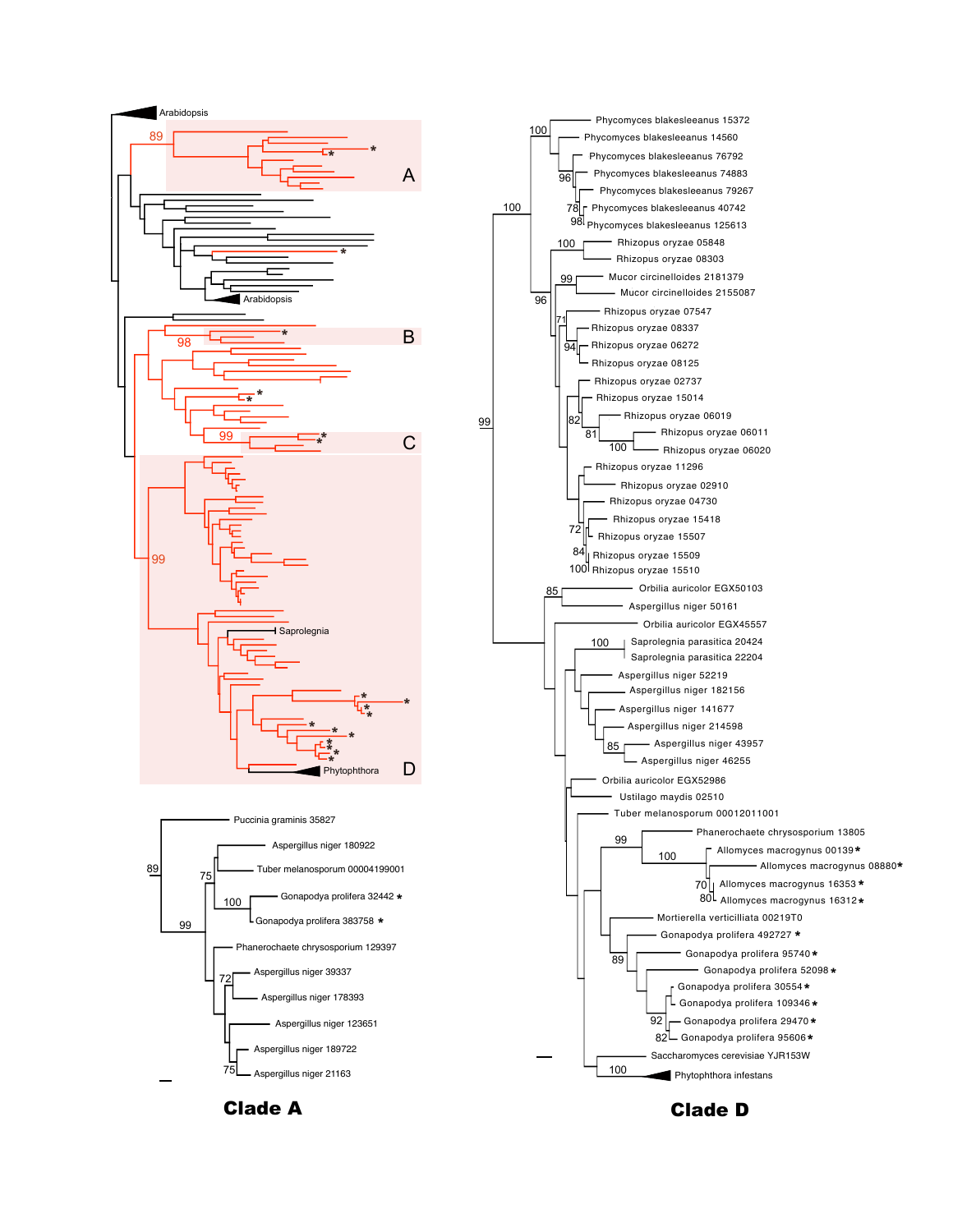

99



Clade A **Clade D**